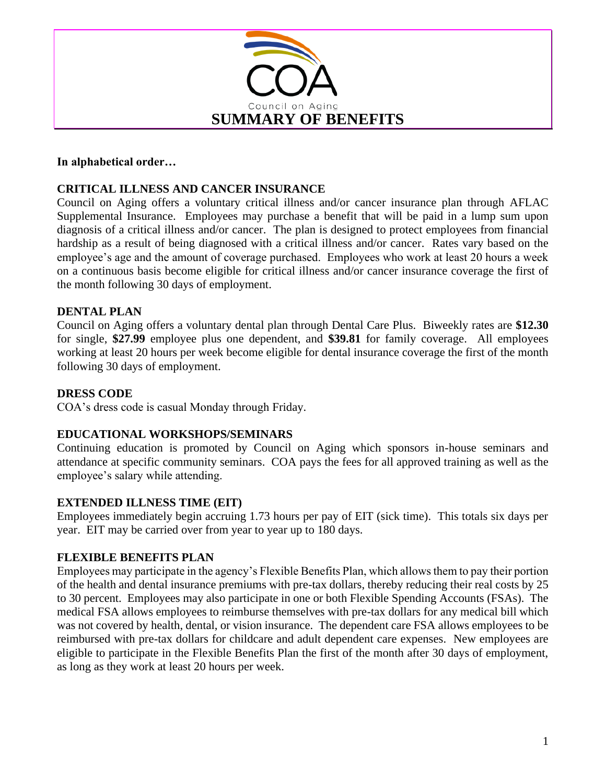

### **In alphabetical order…**

## **CRITICAL ILLNESS AND CANCER INSURANCE**

Council on Aging offers a voluntary critical illness and/or cancer insurance plan through AFLAC Supplemental Insurance. Employees may purchase a benefit that will be paid in a lump sum upon diagnosis of a critical illness and/or cancer. The plan is designed to protect employees from financial hardship as a result of being diagnosed with a critical illness and/or cancer. Rates vary based on the employee's age and the amount of coverage purchased. Employees who work at least 20 hours a week on a continuous basis become eligible for critical illness and/or cancer insurance coverage the first of the month following 30 days of employment.

### **DENTAL PLAN**

Council on Aging offers a voluntary dental plan through Dental Care Plus. Biweekly rates are **\$12.30** for single, **\$27.99** employee plus one dependent, and **\$39.81** for family coverage. All employees working at least 20 hours per week become eligible for dental insurance coverage the first of the month following 30 days of employment.

#### **DRESS CODE**

COA's dress code is casual Monday through Friday.

#### **EDUCATIONAL WORKSHOPS/SEMINARS**

Continuing education is promoted by Council on Aging which sponsors in-house seminars and attendance at specific community seminars. COA pays the fees for all approved training as well as the employee's salary while attending.

#### **EXTENDED ILLNESS TIME (EIT)**

Employees immediately begin accruing 1.73 hours per pay of EIT (sick time). This totals six days per year. EIT may be carried over from year to year up to 180 days.

#### **FLEXIBLE BENEFITS PLAN**

Employees may participate in the agency's Flexible Benefits Plan, which allows them to pay their portion of the health and dental insurance premiums with pre-tax dollars, thereby reducing their real costs by 25 to 30 percent. Employees may also participate in one or both Flexible Spending Accounts (FSAs). The medical FSA allows employees to reimburse themselves with pre-tax dollars for any medical bill which was not covered by health, dental, or vision insurance. The dependent care FSA allows employees to be reimbursed with pre-tax dollars for childcare and adult dependent care expenses. New employees are eligible to participate in the Flexible Benefits Plan the first of the month after 30 days of employment, as long as they work at least 20 hours per week.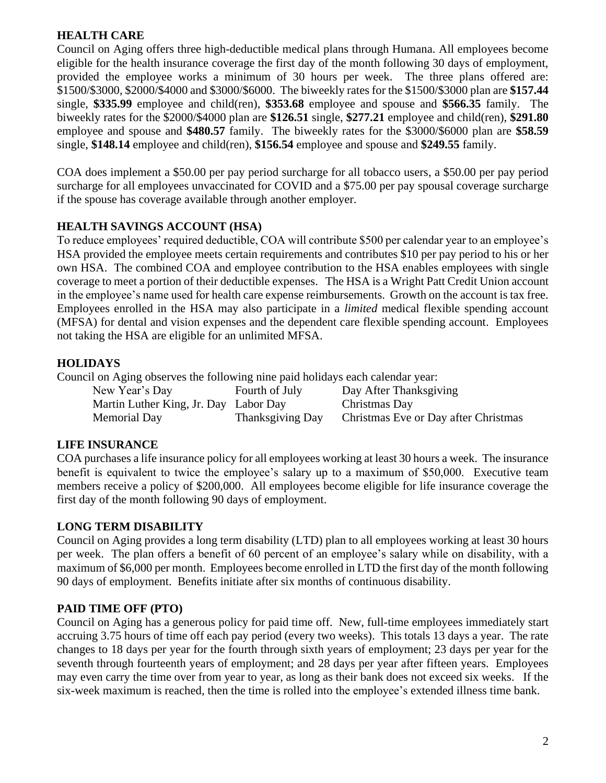## **HEALTH CARE**

Council on Aging offers three high-deductible medical plans through Humana. All employees become eligible for the health insurance coverage the first day of the month following 30 days of employment, provided the employee works a minimum of 30 hours per week. The three plans offered are: \$1500/\$3000, \$2000/\$4000 and \$3000/\$6000. The biweekly rates for the \$1500/\$3000 plan are **\$157.44** single, **\$335.99** employee and child(ren), **\$353.68** employee and spouse and **\$566.35** family. The biweekly rates for the \$2000/\$4000 plan are **\$126.51** single, **\$277.21** employee and child(ren), **\$291.80** employee and spouse and **\$480.57** family. The biweekly rates for the \$3000/\$6000 plan are **\$58.59** single, **\$148.14** employee and child(ren), **\$156.54** employee and spouse and **\$249.55** family.

COA does implement a \$50.00 per pay period surcharge for all tobacco users, a \$50.00 per pay period surcharge for all employees unvaccinated for COVID and a \$75.00 per pay spousal coverage surcharge if the spouse has coverage available through another employer.

## **HEALTH SAVINGS ACCOUNT (HSA)**

To reduce employees' required deductible, COA will contribute \$500 per calendar year to an employee's HSA provided the employee meets certain requirements and contributes \$10 per pay period to his or her own HSA. The combined COA and employee contribution to the HSA enables employees with single coverage to meet a portion of their deductible expenses. The HSA is a Wright Patt Credit Union account in the employee's name used for health care expense reimbursements. Growth on the account is tax free. Employees enrolled in the HSA may also participate in a *limited* medical flexible spending account (MFSA) for dental and vision expenses and the dependent care flexible spending account. Employees not taking the HSA are eligible for an unlimited MFSA.

## **HOLIDAYS**

Council on Aging observes the following nine paid holidays each calendar year:

| New Year's Day                        | Fourth of July   | Day After Thanksgiving               |
|---------------------------------------|------------------|--------------------------------------|
| Martin Luther King, Jr. Day Labor Day |                  | Christmas Day                        |
| <b>Memorial Day</b>                   | Thanksgiving Day | Christmas Eve or Day after Christmas |

## **LIFE INSURANCE**

COA purchases a life insurance policy for all employees working at least 30 hours a week. The insurance benefit is equivalent to twice the employee's salary up to a maximum of \$50,000. Executive team members receive a policy of \$200,000. All employees become eligible for life insurance coverage the first day of the month following 90 days of employment.

## **LONG TERM DISABILITY**

Council on Aging provides a long term disability (LTD) plan to all employees working at least 30 hours per week. The plan offers a benefit of 60 percent of an employee's salary while on disability, with a maximum of \$6,000 per month. Employees become enrolled in LTD the first day of the month following 90 days of employment. Benefits initiate after six months of continuous disability.

# **PAID TIME OFF (PTO)**

Council on Aging has a generous policy for paid time off. New, full-time employees immediately start accruing 3.75 hours of time off each pay period (every two weeks). This totals 13 days a year. The rate changes to 18 days per year for the fourth through sixth years of employment; 23 days per year for the seventh through fourteenth years of employment; and 28 days per year after fifteen years. Employees may even carry the time over from year to year, as long as their bank does not exceed six weeks. If the six-week maximum is reached, then the time is rolled into the employee's extended illness time bank.